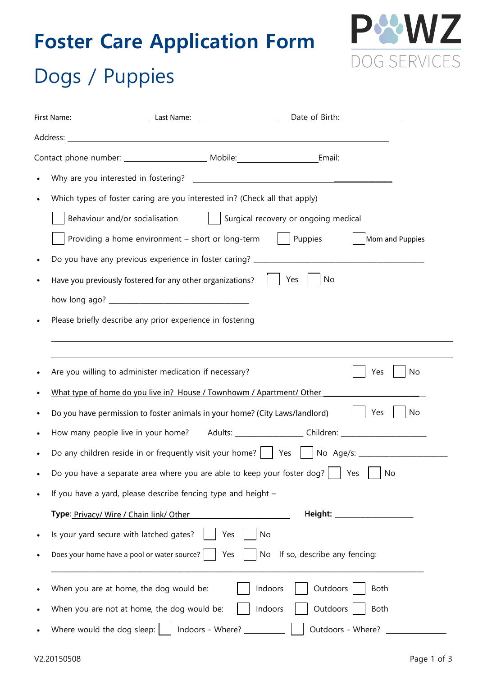# **Foster Care Application Form**



# Dogs / Puppies

| Which types of foster caring are you interested in? (Check all that apply)                           |  |  |  |  |  |  |  |
|------------------------------------------------------------------------------------------------------|--|--|--|--|--|--|--|
| Behaviour and/or socialisation<br>  Surgical recovery or ongoing medical                             |  |  |  |  |  |  |  |
| Providing a home environment - short or long-term<br>Puppies<br>Mom and Puppies                      |  |  |  |  |  |  |  |
|                                                                                                      |  |  |  |  |  |  |  |
| Yes<br>No<br>Have you previously fostered for any other organizations?                               |  |  |  |  |  |  |  |
|                                                                                                      |  |  |  |  |  |  |  |
| Please briefly describe any prior experience in fostering                                            |  |  |  |  |  |  |  |
|                                                                                                      |  |  |  |  |  |  |  |
|                                                                                                      |  |  |  |  |  |  |  |
| Are you willing to administer medication if necessary?<br>No<br>Yes                                  |  |  |  |  |  |  |  |
| What type of home do you live in? House / Townhowm / Apartment/ Other                                |  |  |  |  |  |  |  |
| Do you have permission to foster animals in your home? (City Laws/landlord)<br>No<br>Yes             |  |  |  |  |  |  |  |
| How many people live in your home? Adults: __________________ Children: ____________________________ |  |  |  |  |  |  |  |
| Do any children reside in or frequently visit your home?     Yes     No Age/s: _____________________ |  |  |  |  |  |  |  |
| Do you have a separate area where you are able to keep your foster dog?<br>No<br>Yes                 |  |  |  |  |  |  |  |
| If you have a yard, please describe fencing type and height -                                        |  |  |  |  |  |  |  |
| Height: ____________________<br>Type: Privacy/ Wire / Chain link/ Other                              |  |  |  |  |  |  |  |
| Is your yard secure with latched gates?<br>Yes<br>No                                                 |  |  |  |  |  |  |  |
| Does your home have a pool or water source?<br>If so, describe any fencing:<br>Yes<br>No             |  |  |  |  |  |  |  |
| Outdoors<br>Indoors<br>When you are at home, the dog would be:<br>Both                               |  |  |  |  |  |  |  |
| Indoors<br>Outdoors<br>When you are not at home, the dog would be:<br>Both                           |  |  |  |  |  |  |  |
| Where would the dog sleep:<br>Outdoors - Where?                                                      |  |  |  |  |  |  |  |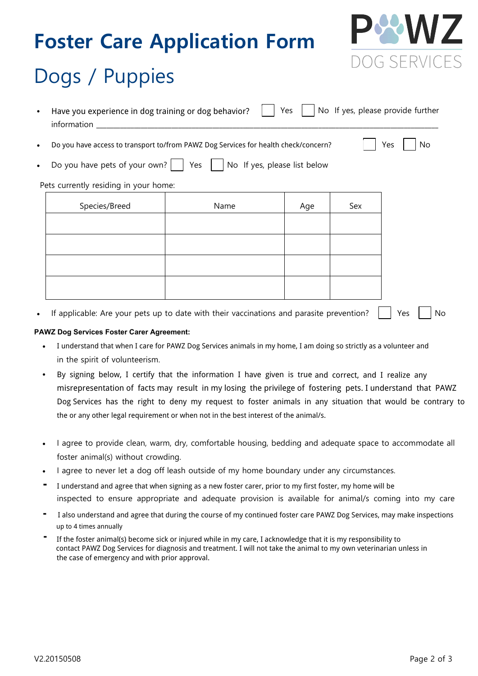### **Foster Care Application Form**



# Dogs / Puppies

- Have you experience in dog training or dog behavior?  $\Box$  Yes  $\Box$  No If yes, please provide further information
- Do you have access to transport to/from an AWL shelter for health check/concern? Yes No Do you have access to transport to/from PAWZ Dog Services for health check/concern?

|  | Do you have pets of your own? $\vert \vert$ Yes $\vert \vert$ No If yes, please list below |  |  |  |  |  |
|--|--------------------------------------------------------------------------------------------|--|--|--|--|--|
|--|--------------------------------------------------------------------------------------------|--|--|--|--|--|

#### Pets currently residing in your home:

| Species/Breed | Name | Age | Sex |
|---------------|------|-----|-----|
|               |      |     |     |
|               |      |     |     |
|               |      |     |     |
|               |      |     |     |
|               |      |     |     |

If applicable: Are your pets up to date with their vaccinations and parasite prevention? Yes No

#### PAWZ Dog Services Foster Carer Agreement: *PAWZ Dog Services Foster Carer Agreement*

- $\:$  I understand that when I care for PAWZ Dog Services animals in my home, I am doing so strictly as a volunteer and in the spirit of volunteerism.
- By signing below, I certify that the information I have given is true and correct, and I realise any By signing below, I certify that the information I have given is true and correct, and I realize any misrepresentation of facts may result in my losing the privilege of fostering pets. I understand that PAWZ Dog Services has the right to deny my request to foster animals in any situation that would be contrary to the or any other legal requirement or when not in the best interest of the animal/s.
- I agree to provide clean, warm, dry, comfortable housing, bedding and adequate space to accommodate all foster animal(s) without crowding.
- I agree to never let a dog off leash outside of my home boundary under any circumstances.
- I understand and agree that when signing as a new foster carer, prior to my first foster, my home will be I understand and agree that when signing as a new foster carer, prior to my first foster, my home will be inspected to ensure appropriate and adequate provision is available for animal/s coming into my care -
- I also understand and agree that during the course of my continued foster care PAWZ Dog Services, may make inspections  $\,$  up to 4 times annually  $\,$  and  $\,$  my continued for my continued for my continued for my continued for my continued for my continued for my continued for my continued for my continued for my continued for my contin -
- If the foster animal(s) become sick or injured while in my care, I acknowledge that it is my responsibility to I understand that Awal, NSW participates in the G22 euthanasia in the G2 euthanasia in the C22 euthanasia interest.<br>The case of emergency and with prior approval. contact PAWZ Dog Services for diagnosis and treatment. I will not take the animal to my own veterinarian unless in -